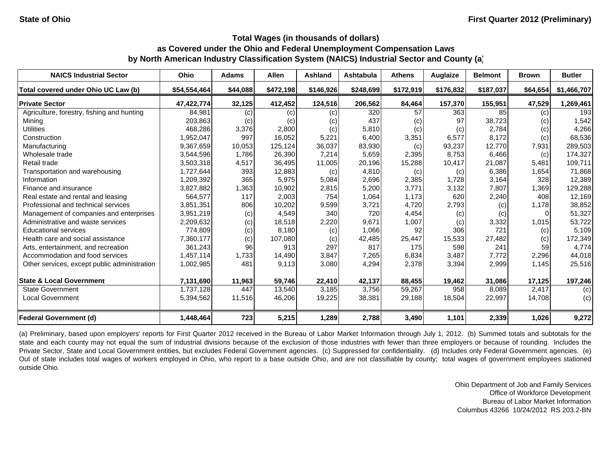| <b>NAICS Industrial Sector</b>               | <b>Ohio</b>  | <b>Adams</b> | <b>Allen</b> | <b>Ashland</b> | <b>Ashtabula</b> | <b>Athens</b> | <b>Auglaize</b> | <b>Belmont</b> | <b>Brown</b>      | <b>Butler</b> |
|----------------------------------------------|--------------|--------------|--------------|----------------|------------------|---------------|-----------------|----------------|-------------------|---------------|
| Total covered under Ohio UC Law (b)          | \$54,554,464 | \$44,088     | \$472,198    | \$146,926      | \$248,699        | \$172,919     | \$176,832       | \$187,037      | \$64,654          | \$1,466,707   |
| <b>Private Sector</b>                        | 47,422,774   | 32,125       | 412,452      | 124,516        | 206,562          | 84,464        | 157,370         | 155,951        | 47,529            | 1,269,461     |
| Agriculture, forestry, fishing and hunting   | 84,981       | (c)          | (c)          | (c)            | 320              | 57            | 363             | 85             | (c)               | 193           |
| Mining                                       | 203,863      | (c)          | (c)          | (c)            | 437              | (c)           | 97              | 38,723         | $\left( c\right)$ | 1,542         |
| <b>Utilities</b>                             | 468,286      | 3,376        | 2,800        | (c)            | 5,810            | (c)           | (c)             | 2,784          | (c)               | 4,266         |
| Construction                                 | 1,952,047    | 997          | 16,052       | 5,221          | 6,400            | 3,351         | 6,577           | 8,172          | (c)               | 68,536        |
| Manufacturing                                | 9,367,659    | 10,053       | 125,124      | 36,037         | 83,930           | (c)           | 93,237          | 12,770         | 7,931             | 289,503       |
| Wholesale trade                              | 3,544,596    | 1.786        | 26,390       | 7,214          | 5,659            | 2,395         | 8,753           | 6,466          | (c)               | 174,327       |
| Retail trade                                 | 3,503,318    | 4,517        | 36,495       | 11,005         | 20,196           | 15,288        | 10,417          | 21,087         | 5,481             | 109,711       |
| Transportation and warehousing               | 1,727,644    | 393          | 12,883       | (c)            | 4,810            | (c)           | (c)             | 6,386          | 1,654             | 71,868        |
| Information                                  | 1,209,392    | 365          | 5,975        | 5,084          | 2,696            | 2,385         | 1,728           | 3,164          | 328               | 12,389        |
| Finance and insurance                        | 3,827,882    | 1,363        | 10,902       | 2,815          | 5,200            | 3,771         | 3,132           | 7,807          | 1,369             | 129,288       |
| Real estate and rental and leasing           | 564,577      | 117          | 2,003        | 754            | 1,064            | 1,173         | 620             | 2,240          | 408               | 12,169        |
| Professional and technical services          | 3,851,351    | 806          | 10,202       | 9,599          | 3,721            | 4,720         | 2,793           | (c)            | 1,178             | 38,852        |
| Management of companies and enterprises      | 3,951,219    | (c)          | 4,549        | 340            | 720              | 4,454         | (c)             | (c)            |                   | 51,327        |
| Administrative and waste services            | 2,209,632    | (c)          | 18,518       | 2,220          | 9.671            | 1,007         | (c)             | 3,332          | 1,015             | 53,722        |
| <b>Educational services</b>                  | 774,809      | (c)          | 8,180        | (c)            | 1,066            | 92            | 306             | 721            | (c)               | 5,109         |
| Health care and social assistance            | 7,360,177    | (c)          | 107,080      | (c)            | 42,485           | 25,447        | 15,533          | 27,482         | (c)               | 172,349       |
| Arts, entertainment, and recreation          | 361,243      | 96           | 913          | 297            | 817              | 175           | 598             | 241            | 59                | 4,774         |
| Accommodation and food services              | 1,457,114    | 1,733        | 14,490       | 3,847          | 7,265            | 6,834         | 3,487           | 7.772          | 2,296             | 44,018        |
| Other services, except public administration | 1,002,985    | 481          | 9,113        | 3,080          | 4,294            | 2,378         | 3,394           | 2,999          | 1,145             | 25,516        |
| <b>State &amp; Local Government</b>          | 7,131,690    | 11,963       | 59,746       | 22,410         | 42,137           | 88,455        | 19,462          | 31,086         | 17,125            | 197,246       |
| <b>State Government</b>                      | 1,737,128    | 447          | 13,540       | 3,185          | 3,756            | 59,267        | 958             | 8,089          | 2,417             | (c)           |
| <b>Local Government</b>                      | 5,394,562    | 11,516       | 46,206       | 19,225         | 38,381           | 29,188        | 18,504          | 22,997         | 14,708            | (c)           |
| <b>Federal Government (d)</b>                | 1,448,464    | 723          | 5,215        | 1,289          | 2,788            | 3,490         | 1,101           | 2,339          | 1,026             | 9,272         |

(a) Preliminary, based upon employers' reports for First Quarter 2012 received in the Bureau of Labor Market Information through July 1, 2012. (b) Summed totals and subtotals for the state and each county may not equal the sum of industrial divisions because of the exclusion of those industries with fewer than three employers or because of rounding. Includes the Private Sector, State and Local Government entities, but excludes Federal Government agencies. (c) Suppressed for confidentiality. (d) Includes only Federal Government agencies. (e) Out of state includes total wages of workers employed in Ohio, who report to <sup>a</sup> base outside Ohio, and are not classifiable by county; total wages of government employees stationed outside Ohio.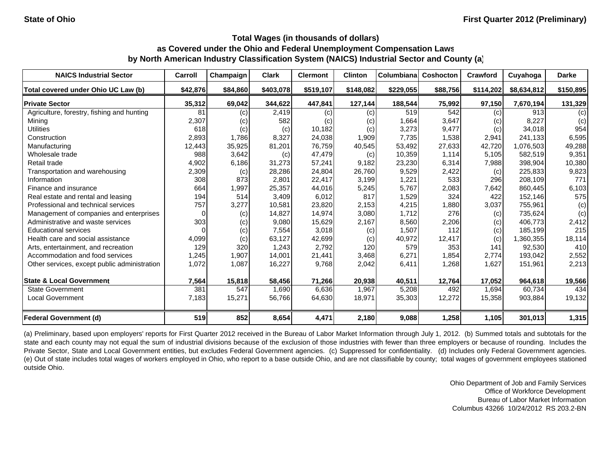| <b>NAICS Industrial Sector</b>               | Carroll        | Champaign | <b>Clark</b> | <b>Clermont</b> | <b>Clinton</b> | Columbiana | <b>Coshocton</b> | Crawford  | Cuyahoga    | <b>Darke</b> |
|----------------------------------------------|----------------|-----------|--------------|-----------------|----------------|------------|------------------|-----------|-------------|--------------|
| Total covered under Ohio UC Law (b)          | \$42,876       | \$84,860  | \$403,078    | \$519,107       | \$148,082      | \$229,055  | \$88,756         | \$114,202 | \$8,634,812 | \$150,895    |
| <b>Private Sector</b>                        | 35,312         | 69,042    | 344,622      | 447,841         | 127,144        | 188,544    | 75,992           | 97,150    | 7,670,194   | 131,329      |
| Agriculture, forestry, fishing and hunting   | 81             | (c)       | 2,419        | (c)             | (c)            | 519        | 542              | (c)       | 913         | (c)          |
| Mining                                       | 2,307          | (c)       | 582          | (c)             | (c)            | 1,664      | 3,647            | (c)       | 8,227       | (c)          |
| <b>Utilities</b>                             | 618            | (c)       | (c)          | 10,182          | (c)            | 3,273      | 9,477            | (c)       | 34,018      | 954          |
| Construction                                 | 2,893          | 1,786     | 8,327        | 24,038          | 1,909          | 7.735      | 1,538            | 2,941     | 241.133     | 6,595        |
| Manufacturing                                | 12,443         | 35,925    | 81,201       | 76,759          | 40,545         | 53,492     | 27,633           | 42,720    | 1,076,503   | 49,288       |
| Wholesale trade                              | 988            | 3,642     | (c)          | 47,479          | (c)            | 10,359     | 1,114            | 5,105     | 582,519     | 9,351        |
| Retail trade                                 | 4,902          | 6,186     | 31,273       | 57,241          | 9,182          | 23,230     | 6,314            | 7,988     | 398,904     | 10,380       |
| Transportation and warehousing               | 2,309          | (c)       | 28,286       | 24,804          | 26,760         | 9,529      | 2,422            | (c)       | 225,833     | 9,823        |
| Information                                  | 308            | 873       | 2,801        | 22,417          | 3,199          | 1,221      | 533              | 296       | 208,109     | 771          |
| Finance and insurance                        | 664            | 1,997     | 25,357       | 44,016          | 5,245          | 5,767      | 2,083            | 7,642     | 860,445     | 6,103        |
| Real estate and rental and leasing           | 194            | 514       | 3,409        | 6.012           | 817            | 1,529      | 324              | 422       | 152,146     | 575          |
| Professional and technical services          | 757            | 3,277     | 10,581       | 23,820          | 2,153          | 4,215      | 1,880            | 3,037     | 755,961     | (c)          |
| Management of companies and enterprises      | $\overline{0}$ | (c)       | 14,827       | 14,974          | 3,080          | 1,712      | 276              | (c)       | 735,624     | (c)          |
| Administrative and waste services            | 303            | (c)       | 9,080        | 15,629          | 2,167          | 8,560      | 2,206            | (c)       | 406,773     | 2,412        |
| <b>Educational services</b>                  | $\Omega$       | (c)       | 7,554        | 3,018           | (c)            | 1,507      | 112              | (c)       | 185,199     | 215          |
| Health care and social assistance            | 4,099          | (c)       | 63,127       | 42,699          | (c)            | 40,972     | 12,417           | (c)       | 1,360,355   | 18,114       |
| Arts, entertainment, and recreation          | 129            | 320       | 1,243        | 2,792           | 120            | 579        | 353              | 141       | 92,530      | 410          |
| Accommodation and food services              | .245           | 1,907     | 14,001       | 21,441          | 3,468          | 6,271      | 1,854            | 2,774     | 193,042     | 2,552        |
| Other services, except public administration | 1,072          | 1,087     | 16,227       | 9,768           | 2,042          | 6,411      | 1,268            | 1,627     | 151,961     | 2,213        |
| <b>State &amp; Local Government</b>          | 7,564          | 15,818    | 58,456       | 71,266          | 20,938         | 40.511     | 12,764           | 17,052    | 964,618     | 19,566       |
| <b>State Government</b>                      | 381            | 547       | 1,690        | 6,636           | 1,967          | 5,208      | 492              | 1,694     | 60,734      | 434          |
| <b>Local Government</b>                      | 7,183          | 15,271    | 56,766       | 64,630          | 18,971         | 35,303     | 12,272           | 15,358    | 903,884     | 19,132       |
| Federal Government (d)                       | 519            | 852       | 8,654        | 4,471           | 2,180          | 9,088      | 1,258            | 1,105     | 301,013     | 1,315        |

(a) Preliminary, based upon employers' reports for First Quarter 2012 received in the Bureau of Labor Market Information through July 1, 2012. (b) Summed totals and subtotals for the state and each county may not equal the sum of industrial divisions because of the exclusion of those industries with fewer than three employers or because of rounding. Includes the Private Sector, State and Local Government entities, but excludes Federal Government agencies. (c) Suppressed for confidentiality. (d) Includes only Federal Government agencies. (e) Out of state includes total wages of workers employed in Ohio, who report to <sup>a</sup> base outside Ohio, and are not classifiable by county; total wages of government employees stationed outside Ohio.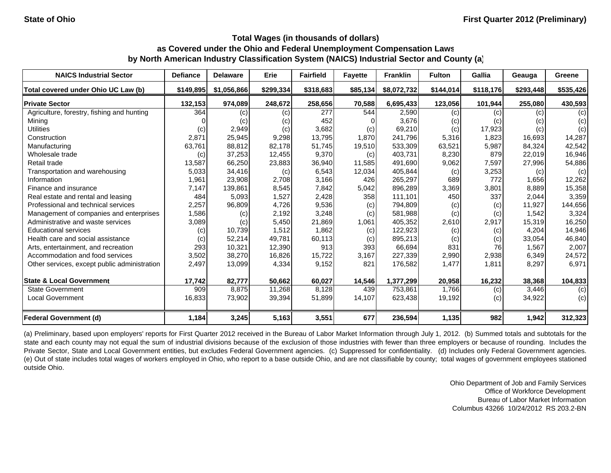| <b>NAICS Industrial Sector</b>               | <b>Defiance</b> | <b>Delaware</b> | Erie      | <b>Fairfield</b> | <b>Fayette</b> | <b>Franklin</b> | <b>Fulton</b> | Gallia    | Geauga    | Greene    |
|----------------------------------------------|-----------------|-----------------|-----------|------------------|----------------|-----------------|---------------|-----------|-----------|-----------|
| Total covered under Ohio UC Law (b)          | \$149,895       | \$1,056,866     | \$299,334 | \$318,683        | \$85,134       | \$8,072,732     | \$144,014     | \$118,176 | \$293,448 | \$535,426 |
| <b>Private Sector</b>                        | 132,153         | 974,089         | 248,672   | 258,656          | 70,588         | 6,695,433       | 123,056       | 101,944   | 255,080   | 430,593   |
| Agriculture, forestry, fishing and hunting   | 364             | (c)             | (c)       | 277              | 544            | 2,590           | (c)           | (c)       | (c)       | (c)       |
| Mining                                       |                 | (c)             | (c)       | 452              |                | 3,676           | (c)           | (c)       | (c)       | (c)       |
| <b>Utilities</b>                             | (c)             | 2,949           | (c)       | 3,682            | (c)            | 69,210          | (c)           | 17,923    | (c)       | (c)       |
| Construction                                 | 2,871           | 25,945          | 9,298     | 13,795           | 1,870          | 241,796         | 5,316         | 1,823     | 16,693    | 14,287    |
| Manufacturing                                | 63,761          | 88,812          | 82,178    | 51,745           | 19,510         | 533,309         | 63,521        | 5,987     | 84.324    | 42,542    |
| Wholesale trade                              | (c)             | 37,253          | 12,455    | 9,370            | (c)            | 403,731         | 8,230         | 879       | 22,019    | 16,946    |
| Retail trade                                 | 13,587          | 66,250          | 23,883    | 36,940           | 11,585         | 491,690         | 9,062         | 7,597     | 27,996    | 54,886    |
| Transportation and warehousing               | 5,033           | 34,416          | (c)       | 6,543            | 12,034         | 405,844         | (c)           | 3,253     | (c)       | (c)       |
| Information                                  | 1,961           | 23,908          | 2,708     | 3,166            | 426            | 265,297         | 689           | 772       | 1,656     | 12,262    |
| Finance and insurance                        | 7,147           | 139,861         | 8,545     | 7,842            | 5,042          | 896,289         | 3,369         | 3,801     | 8,889     | 15,358    |
| Real estate and rental and leasing           | 484             | 5,093           | 1,527     | 2,428            | 358            | 111,101         | 450           | 337       | 2,044     | 3,359     |
| Professional and technical services          | 2,257           | 96,809          | 4,726     | 9,536            | (c)            | 794,809         | (c)           | (c)       | 11,927    | 144,656   |
| Management of companies and enterprises      | 1,586           | (c)             | 2,192     | 3,248            | (c)            | 581,988         | (c)           | (c)       | 1,542     | 3,324     |
| Administrative and waste services            | 3,089           | (c)             | 5,450     | 21,869           | 1,061          | 405,352         | 2,610         | 2,917     | 15,319    | 16,250    |
| <b>Educational services</b>                  | (c)             | 10,739          | 1,512     | 1,862            | (c)            | 122,923         | (c)           | (c)       | 4,204     | 14,946    |
| Health care and social assistance            | (c)             | 52,214          | 49,781    | 60,113           | (c)            | 895,213         | (c)           | (c)       | 33,054    | 46,840    |
| Arts, entertainment, and recreation          | 293             | 10,321          | 12,390    | 913              | 393            | 66,694          | 831           | 76        | 1,567     | 2,007     |
| Accommodation and food services              | 3,502           | 38,270          | 16,826    | 15,722           | 3,167          | 227,339         | 2,990         | 2,938     | 6,349     | 24,572    |
| Other services, except public administration | 2,497           | 13,099          | 4,334     | 9,152            | 821            | 176,582         | 1,477         | 1,811     | 8,297     | 6,971     |
| <b>State &amp; Local Government</b>          | 17,742          | 82,777          | 50,662    | 60,027           | 14,546         | 1,377,299       | 20,958        | 16,232    | 38,368    | 104,833   |
| <b>State Government</b>                      | 909             | 8,875           | 11,268    | 8,128            | 439            | 753,861         | 1,766         | (c)       | 3,446     | (c)       |
| <b>Local Government</b>                      | 16,833          | 73,902          | 39,394    | 51,899           | 14,107         | 623,438         | 19,192        | (c)       | 34,922    | (c)       |
| <b>Federal Government (d)</b>                | 1,184           | 3,245           | 5,163     | 3,551            | 677            | 236,594         | 1,135         | 982       | 1,942     | 312,323   |

(a) Preliminary, based upon employers' reports for First Quarter 2012 received in the Bureau of Labor Market Information through July 1, 2012. (b) Summed totals and subtotals for the state and each county may not equal the sum of industrial divisions because of the exclusion of those industries with fewer than three employers or because of rounding. Includes the Private Sector, State and Local Government entities, but excludes Federal Government agencies. (c) Suppressed for confidentiality. (d) Includes only Federal Government agencies. (e) Out of state includes total wages of workers employed in Ohio, who report to <sup>a</sup> base outside Ohio, and are not classifiable by county; total wages of government employees stationed outside Ohio.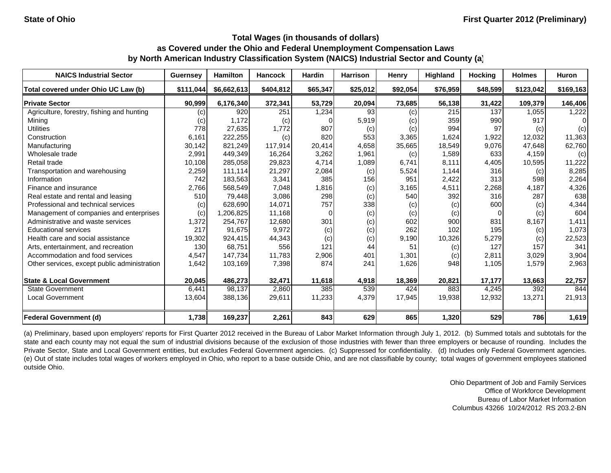| <b>NAICS Industrial Sector</b>               | <b>Guernsey</b>            | <b>Hamilton</b> | <b>Hancock</b> | <b>Hardin</b> | <b>Harrison</b> | Henry    | <b>Highland</b> | <b>Hocking</b> | <b>Holmes</b> | Huron     |
|----------------------------------------------|----------------------------|-----------------|----------------|---------------|-----------------|----------|-----------------|----------------|---------------|-----------|
| Total covered under Ohio UC Law (b)          | \$111,044                  | \$6,662,613     | \$404,812      | \$65,347      | \$25,012        | \$92,054 | \$76,959        | \$48,599       | \$123,042     | \$169,163 |
| <b>Private Sector</b>                        | 90,999                     | 6,176,340       | 372,341        | 53,729        | 20,094          | 73,685   | 56,138          | 31,422         | 109,379       | 146,406   |
| Agriculture, forestry, fishing and hunting   | $\left( c\right)$          | 920             | 251            | ,234          | 93              | (c)      | 215             | 137            | 1,055         | 1,222     |
| Mining                                       | $\left( \mathrm{c}\right)$ | 1,172           | (c)            |               | 5,919           | (c)      | 359             | 990            | 917           | 0         |
| <b>Utilities</b>                             | 778                        | 27,635          | 1.772          | 807           | (c)             | (c)      | 994             | 97             | (c)           | (c)       |
| Construction                                 | 6,161                      | 222,255         | (c)            | 820           | 553             | 3,365    | 1,624           | 1,922          | 12,032        | 11,363    |
| Manufacturing                                | 30,142                     | 821,249         | 117,914        | 20,414        | 4,658           | 35,665   | 18,549          | 9,076          | 47,648        | 62,760    |
| Wholesale trade                              | 2,991                      | 449,349         | 16,264         | 3,262         | 1,961           | (c)      | 1,589           | 633            | 4,159         | (c)       |
| Retail trade                                 | 10,108                     | 285,058         | 29,823         | 4,714         | 1,089           | 6,741    | 8,111           | 4,405          | 10,595        | 11,222    |
| Transportation and warehousing               | 2,259                      | 111,114         | 21,297         | 2,084         | (c)             | 5,524    | 1,144           | 316            | (c)           | 8,285     |
| Information                                  | 742                        | 183,563         | 3,341          | 385           | 156             | 951      | 2,422           | 313            | 598           | 2,264     |
| Finance and insurance                        | 2,766                      | 568,549         | 7,048          | 1,816         | (c)             | 3,165    | 4,511           | 2,268          | 4,187         | 4,326     |
| Real estate and rental and leasing           | 510                        | 79,448          | 3,086          | 298           | (c)             | 540      | 392             | 316            | 287           | 638       |
| Professional and technical services          | (c)                        | 628.690         | 14,071         | 757           | 338             | (c)      | (c)             | 600            | (c)           | 4,344     |
| Management of companies and enterprises      | (c)                        | 1,206,825       | 11,168         |               | (c)             | (c)      | (c)             | $\Omega$       | (c)           | 604       |
| Administrative and waste services            | 1,372                      | 254,767         | 12,680         | 301           | (c)             | 602      | 900             | 831            | 8,167         | 1,411     |
| <b>Educational services</b>                  | 217                        | 91.675          | 9,972          | (c)           | (c)             | 262      | 102             | 195            | (c)           | 1,073     |
| Health care and social assistance            | 19,302                     | 924,415         | 44,343         | (c)           | (c)             | 9,190    | 10,326          | 5,279          | (c)           | 22,523    |
| Arts, entertainment, and recreation          | 130                        | 68,751          | 556            | 121           | 44              | 51       | (c)             | 127            | 157           | 341       |
| Accommodation and food services              | 4,547                      | 147,734         | 11,783         | 2,906         | 401             | 1,301    | (c)             | 2,811          | 3,029         | 3,904     |
| Other services, except public administration | 1,642                      | 103,169         | 7,398          | 874           | 241             | 1,626    | 948             | 1,105          | 1,579         | 2,963     |
| <b>State &amp; Local Government</b>          | 20,045                     | 486,273         | 32,471         | 11,618        | 4,918           | 18,369   | 20,821          | 17,177         | 13,663        | 22,757    |
| <b>State Government</b>                      | 6,441                      | 98,137          | 2,860          | 385           | 539             | 424      | 883             | 4,245          | 392           | 844       |
| <b>Local Government</b>                      | 13,604                     | 388,136         | 29,611         | 11,233        | 4,379           | 17,945   | 19,938          | 12,932         | 13,271        | 21,913    |
| <b>Federal Government (d)</b>                | 1,738                      | 169,237         | 2,261          | 843           | 629             | 865      | 1,320           | 529            | 786           | 1,619     |

(a) Preliminary, based upon employers' reports for First Quarter 2012 received in the Bureau of Labor Market Information through July 1, 2012. (b) Summed totals and subtotals for the state and each county may not equal the sum of industrial divisions because of the exclusion of those industries with fewer than three employers or because of rounding. Includes the Private Sector, State and Local Government entities, but excludes Federal Government agencies. (c) Suppressed for confidentiality. (d) Includes only Federal Government agencies. (e) Out of state includes total wages of workers employed in Ohio, who report to <sup>a</sup> base outside Ohio, and are not classifiable by county; total wages of government employees stationed outside Ohio.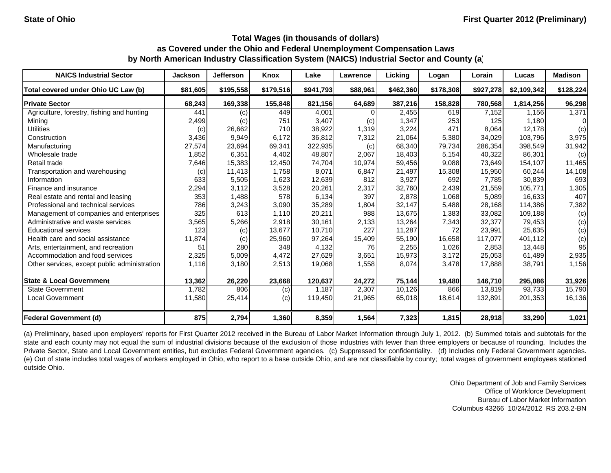| <b>NAICS Industrial Sector</b>               | <b>Jackson</b> | <b>Jefferson</b> | Knox      | Lake      | Lawrence | Licking   | Logan     | Lorain    | Lucas       | <b>Madison</b> |
|----------------------------------------------|----------------|------------------|-----------|-----------|----------|-----------|-----------|-----------|-------------|----------------|
| Total covered under Ohio UC Law (b)          | \$81,605       | \$195,558        | \$179,516 | \$941,793 | \$88,961 | \$462,360 | \$178,308 | \$927,278 | \$2,109,342 | \$128,224      |
| <b>Private Sector</b>                        | 68,243         | 169,338          | 155,848   | 821,156   | 64,689   | 387,216   | 158,828   | 780,568   | 1,814,256   | 96,298         |
| Agriculture, forestry, fishing and hunting   | 441            | (c)              | 449       | 4,001     |          | 2,455     | 619       | 7,152     | 1.156       | 1,371          |
| Mining                                       | 2,499          | (c)              | 751       | 3,407     | (c)      | 1,347     | 253       | 125       | 1,180       | $\Omega$       |
| <b>Utilities</b>                             | (c)            | 26,662           | 710       | 38,922    | 1,319    | 3,224     | 471       | 8,064     | 12,178      | (c)            |
| Construction                                 | 3,436          | 9,949            | 6.172     | 36,812    | 7,312    | 21,064    | 5,380     | 34,029    | 103.796     | 3,975          |
| Manufacturing                                | 27,574         | 23,694           | 69,341    | 322,935   | (c)      | 68,340    | 79,734    | 286,354   | 398,549     | 31,942         |
| Wholesale trade                              | 1,852          | 6,351            | 4,402     | 48,807    | 2,067    | 18,403    | 5,154     | 40,322    | 86,301      | (c)            |
| Retail trade                                 | 7,646          | 15,383           | 12,450    | 74,704    | 10,974   | 59,456    | 9,088     | 73,649    | 154,107     | 11,465         |
| Transportation and warehousing               | (c)            | 11,413           | 1,758     | 8,071     | 6,847    | 21,497    | 15,308    | 15,950    | 60,244      | 14,108         |
| Information                                  | 633            | 5,505            | 1,623     | 12,639    | 812      | 3,927     | 692       | 7.785     | 30.839      | 693            |
| Finance and insurance                        | 2,294          | 3,112            | 3,528     | 20,261    | 2,317    | 32,760    | 2,439     | 21,559    | 105,771     | 1,305          |
| Real estate and rental and leasing           | 353            | 1,488            | 578       | 6,134     | 397      | 2,878     | 1,068     | 5,089     | 16,633      | 407            |
| Professional and technical services          | 786            | 3,243            | 3,090     | 35,289    | 1,804    | 32,147    | 5,488     | 28,168    | 114,386     | 7,382          |
| Management of companies and enterprises      | 325            | 613              | 1,110     | 20,211    | 988      | 13,675    | 1,383     | 33,082    | 109,188     | (c)            |
| Administrative and waste services            | 3,565          | 5,266            | 2,918     | 30,161    | 2,133    | 13,264    | 7,343     | 32,377    | 79,453      | (c)            |
| <b>Educational services</b>                  | 123            | (c)              | 13,677    | 10,710    | 227      | 11,287    | 72        | 23,991    | 25,635      | (c)            |
| Health care and social assistance            | 11,874         | (c)              | 25,960    | 97,264    | 15,409   | 55,190    | 16,658    | 117,077   | 401,112     | (c)            |
| Arts, entertainment, and recreation          | 51             | 280              | 348       | 4,132     | 76       | 2,255     | 1,026     | 2,853     | 13,448      | 95             |
| Accommodation and food services              | 2,325          | 5,009            | 4,472     | 27,629    | 3,651    | 15,973    | 3,172     | 25,053    | 61,489      | 2,935          |
| Other services, except public administration | 1,116          | 3,180            | 2,513     | 19,068    | 1,558    | 8,074     | 3,478     | 17,888    | 38,791      | 1,156          |
| <b>State &amp; Local Government</b>          | 13,362         | 26,220           | 23,668    | 120,637   | 24,272   | 75,144    | 19,480    | 146,710   | 295,086     | 31,926         |
| <b>State Government</b>                      | 1,782          | 806              | (c)       | 1,187     | 2,307    | 10,126    | 866       | 13,819    | 93,733      | 15,790         |
| Local Government                             | 11,580         | 25,414           | (c)       | 119,450   | 21,965   | 65,018    | 18,614    | 132,891   | 201,353     | 16,136         |
| <b>Federal Government (d)</b>                | 875            | 2,794            | 1,360     | 8,359     | 1,564    | 7,323     | 1,815     | 28,918    | 33,290      | 1,021          |

(a) Preliminary, based upon employers' reports for First Quarter 2012 received in the Bureau of Labor Market Information through July 1, 2012. (b) Summed totals and subtotals for the state and each county may not equal the sum of industrial divisions because of the exclusion of those industries with fewer than three employers or because of rounding. Includes the Private Sector, State and Local Government entities, but excludes Federal Government agencies. (c) Suppressed for confidentiality. (d) Includes only Federal Government agencies. (e) Out of state includes total wages of workers employed in Ohio, who report to <sup>a</sup> base outside Ohio, and are not classifiable by county; total wages of government employees stationed outside Ohio.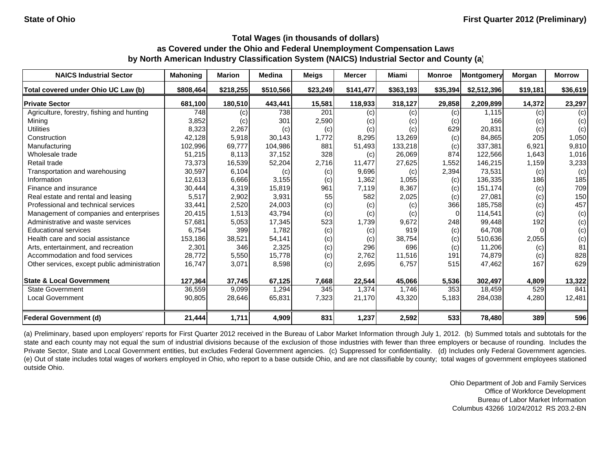| <b>NAICS Industrial Sector</b>               | <b>Mahoning</b> | <b>Marion</b> | <b>Medina</b> | <b>Meigs</b> | <b>Mercer</b> | Miami     | <b>Monroe</b>  | Montgomery  | Morgan   | <b>Morrow</b> |
|----------------------------------------------|-----------------|---------------|---------------|--------------|---------------|-----------|----------------|-------------|----------|---------------|
| Total covered under Ohio UC Law (b)          | \$808,464       | \$218,255     | \$510,566     | \$23,249     | \$141,477     | \$363,193 | \$35,394       | \$2,512,396 | \$19,181 | \$36,619      |
| <b>Private Sector</b>                        | 681,100         | 180,510       | 443,441       | 15,581       | 118,933       | 318,127   | 29,858         | 2,209,899   | 14,372   | 23,297        |
| Agriculture, forestry, fishing and hunting   | 748             | (c)           | 738           | 201          | (c)           | (c)       | (c)            | 1,115       | (c)      | (c)           |
| Mining                                       | 3,852           | (c)           | 301           | 2,590        | (c)           | (c)       | (c)            | 166         | (c)      | (c)           |
| <b>Utilities</b>                             | 8,323           | 2,267         | (c)           | (c)          | (c)           | (c)       | 629            | 20,831      | (c)      | (c)           |
| Construction                                 | 42,128          | 5,918         | 30,143        | 1,772        | 8,295         | 13,269    | (c)            | 84.865      | 205      | 1,050         |
| Manufacturing                                | 102,996         | 69,777        | 104,986       | 881          | 51,493        | 133,218   | (c)            | 337,381     | 6,921    | 9,810         |
| Wholesale trade                              | 51,215          | 8,113         | 37,152        | 328          | (c)           | 26,069    | 874            | 122,566     | 1,643    | 1,016         |
| Retail trade                                 | 73,373          | 16,539        | 52,204        | 2,716        | 11,477        | 27,625    | 1,552          | 146,215     | 1,159    | 3,233         |
| Transportation and warehousing               | 30,597          | 6,104         | (c)           | (c)          | 9,696         | (c)       | 2,394          | 73,531      | (c)      | (c)           |
| Information                                  | 12,613          | 6,666         | 3,155         | (c)          | 1,362         | 1,055     | (c)            | 136,335     | 186      | 185           |
| Finance and insurance                        | 30,444          | 4,319         | 15,819        | 961          | 7,119         | 8,367     | (c)            | 151,174     | (c)      | 709           |
| Real estate and rental and leasing           | 5,517           | 2,902         | 3,931         | 55           | 582           | 2,025     | (c)            | 27,081      | (c)      | 150           |
| Professional and technical services          | 33,441          | 2,520         | 24,003        | (c)          | (c)           | (c)       | 366            | 185.758     | (c)      | 457           |
| Management of companies and enterprises      | 20,415          | 1,513         | 43,794        | (c)          | (c)           | (c)       | $\overline{0}$ | 114,541     | (c)      | (c)           |
| Administrative and waste services            | 57,681          | 5,053         | 17,345        | 523          | 1,739         | 9,672     | 248            | 99.448      | 192      | (c)           |
| <b>Educational services</b>                  | 6,754           | 399           | 1,782         | (c)          | (c)           | 919       | (c)            | 64,708      |          | (c)           |
| Health care and social assistance            | 153,186         | 38,521        | 54,141        | (c)          | (c)           | 38,754    | (c)            | 510,636     | 2,055    | (c)           |
| Arts, entertainment, and recreation          | 2,301           | 346           | 2,325         | (c)          | 296           | 696       | (c)            | 11,206      | (c)      | 81            |
| Accommodation and food services              | 28,772          | 5,550         | 15,778        | (c)          | 2,762         | 11,516    | 191            | 74,879      | (c)      | 828           |
| Other services, except public administration | 16,747          | 3,071         | 8,598         | (c)          | 2,695         | 6,757     | 515            | 47,462      | 167      | 629           |
| <b>State &amp; Local Government</b>          | 127,364         | 37,745        | 67,125        | 7,668        | 22,544        | 45,066    | 5,536          | 302,497     | 4,809    | 13,322        |
| <b>State Government</b>                      | 36,559          | 9,099         | 1,294         | 345          | 1,374         | 1.746     | 353            | 18,459      | 529      | 841           |
| <b>Local Government</b>                      | 90,805          | 28,646        | 65,831        | 7,323        | 21,170        | 43,320    | 5,183          | 284,038     | 4,280    | 12,481        |
| <b>Federal Government (d)</b>                | 21,444          | 1,711         | 4,909         | 831          | 1,237         | 2,592     | 533            | 78,480      | 389      | 596           |

(a) Preliminary, based upon employers' reports for First Quarter 2012 received in the Bureau of Labor Market Information through July 1, 2012. (b) Summed totals and subtotals for the state and each county may not equal the sum of industrial divisions because of the exclusion of those industries with fewer than three employers or because of rounding. Includes the Private Sector, State and Local Government entities, but excludes Federal Government agencies. (c) Suppressed for confidentiality. (d) Includes only Federal Government agencies. (e) Out of state includes total wages of workers employed in Ohio, who report to <sup>a</sup> base outside Ohio, and are not classifiable by county; total wages of government employees stationed outside Ohio.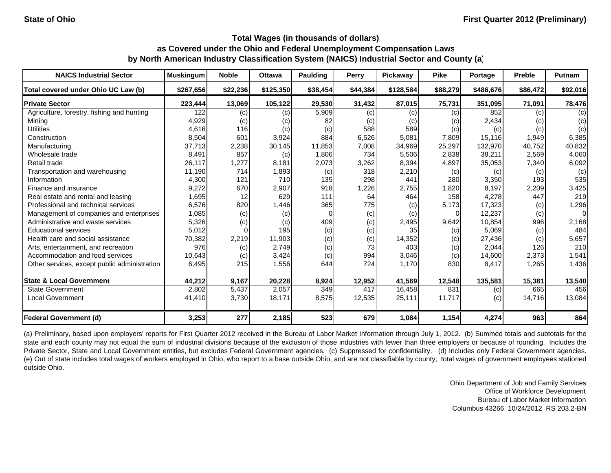| <b>NAICS Industrial Sector</b>               | <b>Muskingum</b> | <b>Noble</b> | <b>Ottawa</b> | <b>Paulding</b> | Perry    | <b>Pickaway</b> | <b>Pike</b> | Portage   | Preble   | <b>Putnam</b> |
|----------------------------------------------|------------------|--------------|---------------|-----------------|----------|-----------------|-------------|-----------|----------|---------------|
| Total covered under Ohio UC Law (b)          | \$267,656        | \$22,236     | \$125,350     | \$38,454        | \$44,384 | \$128,584       | \$88,279    | \$486,676 | \$86,472 | \$92,016      |
| <b>Private Sector</b>                        | 223,444          | 13,069       | 105,122       | 29,530          | 31,432   | 87,015          | 75,731      | 351,095   | 71,091   | 78,476        |
| Agriculture, forestry, fishing and hunting   | 122              | (c)          | (c)           | 5,909           | (c)      | (c)             | (c)         | 852       | (c)      | (c)           |
| Mining                                       | 4,929            | (c)          | (c)           | 82              | (c)      | (C)             | (c)         | 2,434     | (c)      | (c)           |
| <b>Utilities</b>                             | 4,616            | 116          | (c)           | (c)             | 588      | 589             | (c)         | (c)       | (c)      | (c)           |
| Construction                                 | 8,504            | 601          | 3,924         | 884             | 6,526    | 5,081           | 7,809       | 15,116    | 1,949    | 6,385         |
| Manufacturing                                | 37,713           | 2,238        | 30,145        | 11,853          | 7,008    | 34,969          | 25,297      | 132,970   | 40,752   | 40,832        |
| Wholesale trade                              | 8,491            | 857          | (c)           | 1,806           | 734      | 5,506           | 2,838       | 38,211    | 2,569    | 4,060         |
| Retail trade                                 | 26,117           | 1,277        | 8,181         | 2,073           | 3,262    | 8,394           | 4,897       | 35,053    | 7,340    | 6,092         |
| Transportation and warehousing               | 11,190           | 714          | 1,893         | (c)             | 318      | 2,210           | (c)         | (c)       | (c)      | (c)           |
| Information                                  | 4,300            | 121          | 710           | 135             | 298      | 441             | 280         | 3,350     | 193      | 535           |
| Finance and insurance                        | 9,272            | 670          | 2,907         | 918             | 1,226    | 2,755           | 1,820       | 8,197     | 2,209    | 3,425         |
| Real estate and rental and leasing           | 1,695            | 12           | 629           | 111             | 64       | 464             | 158         | 4,278     | 447      | 219           |
| Professional and technical services          | 6,576            | 820          | 1,446         | 365             | 775      | (c)             | 5,173       | 17,323    | (c)      | 1,296         |
| Management of companies and enterprises      | 1,085            | (c)          | (c)           |                 | (c)      | (c)             |             | 12,237    | (c)      | $\Omega$      |
| Administrative and waste services            | 5,326            | (c)          | (c)           | 409             | (c)      | 2,495           | 9,642       | 10,854    | 996      | 2,168         |
| <b>Educational services</b>                  | 5,012            |              | 195           | (c)             | (c)      | 35              | (c)         | 5,069     | (c)      | 484           |
| Health care and social assistance            | 70,382           | 2,219        | 11,903        | (c)             | (c)      | 14,352          | (c)         | 27,436    | (c)      | 5,657         |
| Arts, entertainment, and recreation          | 976              | (c)          | 2,749         | (c)             | 73       | 403             | (c)         | 2,044     | 126      | 210           |
| Accommodation and food services              | 10,643           | (c)          | 3,424         | (c)             | 994      | 3,046           | (c)         | 14,600    | 2,373    | 1,541         |
| Other services, except public administration | 6,495            | 215          | 1,556         | 644             | 724      | 1,170           | 830         | 8,417     | 1,265    | 1,436         |
| <b>State &amp; Local Government</b>          | 44,212           | 9,167        | 20,228        | 8,924           | 12,952   | 41,569          | 12,548      | 135,581   | 15,381   | 13,540        |
| <b>State Government</b>                      | 2,802            | 5,437        | 2,057         | 349             | 417      | 16,458          | 831         | (c)       | 665      | 456           |
| <b>Local Government</b>                      | 41,410           | 3,730        | 18,171        | 8,575           | 12,535   | 25,111          | 11,717      | (c)       | 14,716   | 13,084        |
| <b>Federal Government (d)</b>                | 3,253            | 277          | 2,185         | 523             | 679      | 1,084           | 1,154       | 4,274     | 963      | 864           |

(a) Preliminary, based upon employers' reports for First Quarter 2012 received in the Bureau of Labor Market Information through July 1, 2012. (b) Summed totals and subtotals for the state and each county may not equal the sum of industrial divisions because of the exclusion of those industries with fewer than three employers or because of rounding. Includes the Private Sector, State and Local Government entities, but excludes Federal Government agencies. (c) Suppressed for confidentiality. (d) Includes only Federal Government agencies. (e) Out of state includes total wages of workers employed in Ohio, who report to <sup>a</sup> base outside Ohio, and are not classifiable by county; total wages of government employees stationed outside Ohio.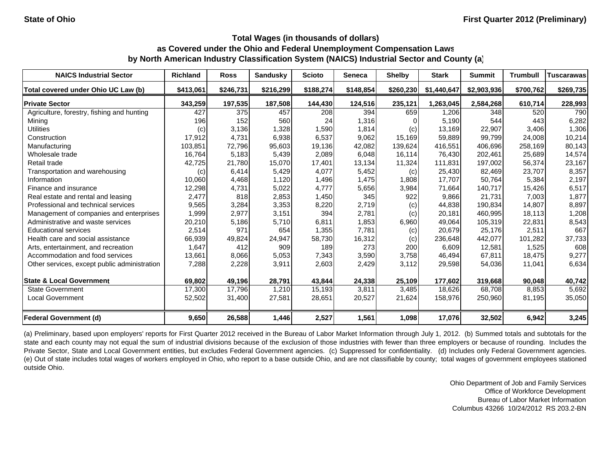| <b>NAICS Industrial Sector</b>               | <b>Richland</b> | <b>Ross</b> | <b>Sandusky</b> | <b>Scioto</b> | <b>Seneca</b> | <b>Shelby</b> | <b>Stark</b> | <b>Summit</b> | <b>Trumbull</b> | <b>Tuscarawas</b> |
|----------------------------------------------|-----------------|-------------|-----------------|---------------|---------------|---------------|--------------|---------------|-----------------|-------------------|
| Total covered under Ohio UC Law (b)          | \$413.061       | \$246,731   | \$216,299       | \$188,274     | \$148,854     | \$260,230     | \$1,440,647  | \$2,903,936   | \$700,762       | \$269,735         |
| <b>Private Sector</b>                        | 343,259         | 197,535     | 187,508         | 144,430       | 124,516       | 235,121       | 1,263,045    | 2,584,268     | 610,714         | 228,993           |
| Agriculture, forestry, fishing and hunting   | 427             | 375         | 457             | 208           | 394           | 659           | 1,206        | 348           | 520             | 790               |
| Mining                                       | 196             | 152         | 560             | 24            | 1,316         |               | 5,190        | 544           | 443             | 6,282             |
| <b>Utilities</b>                             | (c)             | 3,136       | 1,328           | 1,590         | 1,814         | (c)           | 13,169       | 22,907        | 3,406           | 1,306             |
| Construction                                 | 17,912          | 4,731       | 6,938           | 6,537         | 9,062         | 15,169        | 59,889       | 99,799        | 24,008          | 10,214            |
| Manufacturing                                | 103,851         | 72,796      | 95,603          | 19,136        | 42,082        | 139,624       | 416,551      | 406,696       | 258,169         | 80,143            |
| Wholesale trade                              | 16,764          | 5,183       | 5,439           | 2,089         | 6,048         | 16,114        | 76,430       | 202,461       | 25,689          | 14,574            |
| Retail trade                                 | 42,725          | 21,780      | 15,070          | 17,401        | 13,134        | 11,324        | 111,831      | 197,002       | 56,374          | 23,167            |
| Transportation and warehousing               | (c)             | 6,414       | 5,429           | 4,077         | 5,452         | (c)           | 25,430       | 82,469        | 23,707          | 8,357             |
| Information                                  | 10,060          | 4,468       | 1,120           | 1,496         | 1,475         | 1,808         | 17,707       | 50,764        | 5,384           | 2,197             |
| Finance and insurance                        | 12,298          | 4,731       | 5,022           | 4,777         | 5,656         | 3,984         | 71,664       | 140,717       | 15,426          | 6,517             |
| Real estate and rental and leasing           | 2,477           | 818         | 2,853           | 1,450         | 345           | 922           | 9,866        | 21.731        | 7.003           | 1,877             |
| Professional and technical services          | 9,565           | 3,284       | 3,353           | 8,220         | 2,719         | (c)           | 44,838       | 190,834       | 14,807          | 8,897             |
| Management of companies and enterprises      | 1,999           | 2,977       | 3,151           | 394           | 2,781         | (c)           | 20,181       | 460.995       | 18.113          | 1,208             |
| Administrative and waste services            | 20,210          | 5,186       | 5,710           | 6,811         | 1,853         | 6,960         | 49,064       | 105,319       | 22,831          | 8,543             |
| <b>Educational services</b>                  | 2,514           | 971         | 654             | 1,355         | 7,781         | (c)           | 20,679       | 25,176        | 2,511           | 667               |
| Health care and social assistance            | 66,939          | 49,824      | 24,947          | 58,730        | 16,312        | (c)           | 236,648      | 442,077       | 101,282         | 37,733            |
| Arts, entertainment, and recreation          | 1,647           | 412         | 909             | 189           | 273           | 200           | 6,609        | 12,581        | 1,525           | 608               |
| Accommodation and food services              | 13,661          | 8,066       | 5,053           | 7,343         | 3,590         | 3,758         | 46,494       | 67,811        | 18,475          | 9,277             |
| Other services, except public administration | 7,288           | 2,228       | 3,911           | 2,603         | 2,429         | 3,112         | 29,598       | 54,036        | 11,041          | 6,634             |
| <b>State &amp; Local Government</b>          | 69,802          | 49,196      | 28,791          | 43,844        | 24,338        | 25,109        | 177,602      | 319,668       | 90,048          | 40,742            |
| <b>State Government</b>                      | 17,300          | 17,796      | 1,210           | 15,193        | 3,811         | 3,485         | 18,626       | 68,708        | 8,853           | 5,692             |
| <b>Local Government</b>                      | 52,502          | 31,400      | 27,581          | 28,651        | 20,527        | 21,624        | 158,976      | 250,960       | 81,195          | 35,050            |
| <b>Federal Government (d)</b>                | 9,650           | 26,588      | 1,446           | 2,527         | 1,561         | 1,098         | 17,076       | 32,502        | 6,942           | 3,245             |

(a) Preliminary, based upon employers' reports for First Quarter 2012 received in the Bureau of Labor Market Information through July 1, 2012. (b) Summed totals and subtotals for the state and each county may not equal the sum of industrial divisions because of the exclusion of those industries with fewer than three employers or because of rounding. Includes the Private Sector, State and Local Government entities, but excludes Federal Government agencies. (c) Suppressed for confidentiality. (d) Includes only Federal Government agencies. (e) Out of state includes total wages of workers employed in Ohio, who report to <sup>a</sup> base outside Ohio, and are not classifiable by county; total wages of government employees stationed outside Ohio.